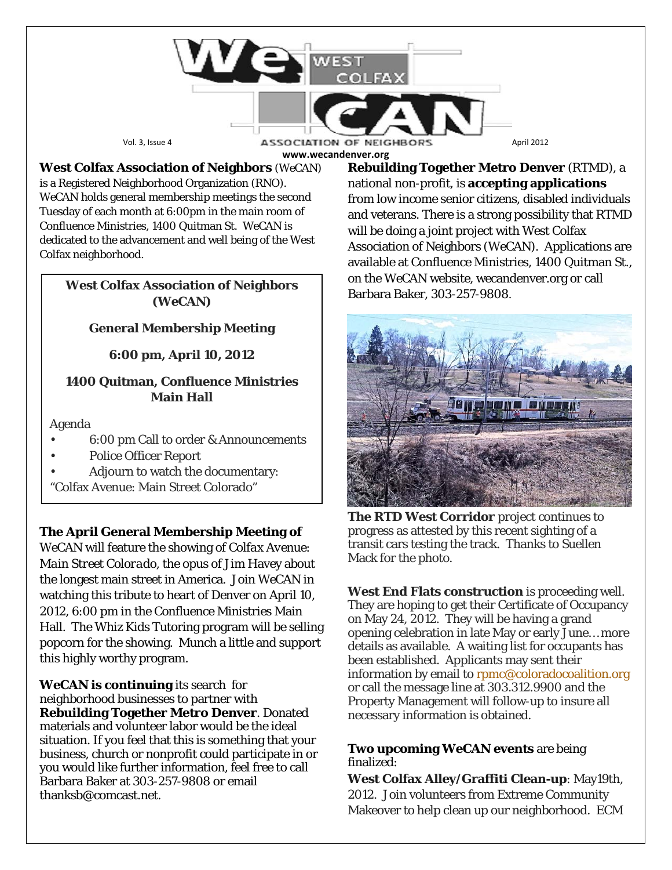

**www.wecandenver.org**

**West Colfax Association of Neighbors** (*WeCAN*) is a Registered Neighborhood Organization (RNO). *WeCAN* holds general membership meetings the second Tuesday of each month at 6:00pm in the main room of Confluence Ministries, 1400 Quitman St. WeCAN is dedicated to the advancement and well being of the West Colfax neighborhood.

#### **West Colfax Association of Neighbors (***WeCAN***)**

### **General Membership Meeting**

**6:00 pm, April 10, 2012**

### **1400 Quitman, Confluence Ministries Main Hall**

Agenda

- 6:00 pm Call to order & Announcements
- Police Officer Report
- Adjourn to watch the documentary:
- "Colfax Avenue: Main Street Colorado"

**The April General Membership Meeting of**

*WeCAN* will feature the showing of *Colfax Avenue: Main Street Colorado,* the opus of Jim Havey about the longest main street in America. Join *WeCAN* in watching this tribute to heart of Denver on April 10, 2012, 6:00 pm in the Confluence Ministries Main Hall. The Whiz Kids Tutoring program will be selling popcorn for the showing. Munch a little and support this highly worthy program.

**WeCAN is continuing** its search for neighborhood businesses to partner with **Rebuilding Together Metro Denver**. Donated materials and volunteer labor would be the ideal situation. If you feel that this is something that your business, church or nonprofit could participate in or you would like further information, feel free to call Barbara Baker at 303-257-9808 or email thanksb@comcast.net.

**Rebuilding Together Metro Denver** (RTMD), a national non-profit, is **accepting applications** from low income senior citizens, disabled individuals and veterans. There is a strong possibility that RTMD will be doing a joint project with West Colfax Association of Neighbors (WeCAN). Applications are available at Confluence Ministries, 1400 Quitman St., on the *WeCAN* website, wecandenver.org or call Barbara Baker, 303-257-9808.



**The RTD West Corridor** project continues to progress as attested by this recent sighting of a transit cars testing the track. Thanks to Suellen Mack for the photo.

**West End Flats construction** is proceeding well. They are hoping to get their Certificate of Occupancy on May 24, 2012. They will be having a grand opening celebration in late May or early June… more details as available. A waiting list for occupants has been established. Applicants may sent their information by email to [rpmc@coloradocoalition.org](mailto:rpmc@coloradocoalition.org) or call the message line at 303.312.9900 and the Property Management will follow-up to insure all necessary information is obtained.

#### **Two upcoming WeCAN events** are being finalized:

**West Colfax Alley/Graffiti Clean-up**: May19th, 2012. Join volunteers from Extreme Community Makeover to help clean up our neighborhood. ECM